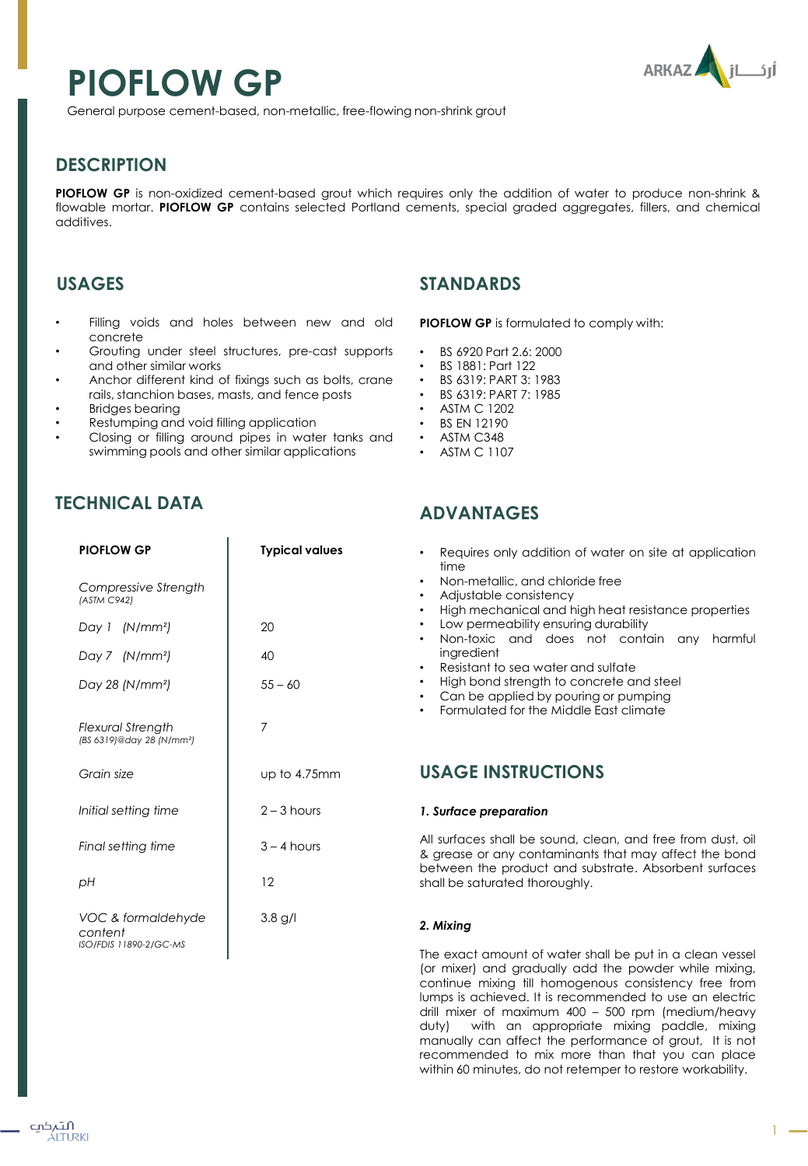# **PIOFLOW GP**



General purpose cement-based, non-metallic, free-flowing non-shrink grout

# **DESCRIPTION**

**PIOFLOW GP** is non-oxidized cement-based grout which requires only the addition of water to produce non-shrink & flowable mortar. **PIOFLOW GP** contains selected Portland cements, special graded aggregates, fillers, and chemical additives.

## **USAGES**

- Filling voids and holes between new and old concrete
- Grouting under steel structures, pre-cast supports and other similar works
- Anchor different kind of fixings such as bolts, crane rails, stanchion bases, masts, and fence posts
- **Bridges bearing**
- Restumping and void filling application
- Closing or filling around pipes in water tanks and swimming pools and other similar applications

# **TECHNICAL DATA**

| <b>PIOFLOW GP</b>                                                 | <b>Typical values</b> |
|-------------------------------------------------------------------|-----------------------|
| Compressive Strength<br>(ASTM C942)                               |                       |
| Day 1 (N/mm <sup>2</sup> )                                        | 20                    |
| Day 7 (N/mm <sup>2</sup> )                                        | 40                    |
| Day 28 (N/mm <sup>2</sup> )                                       | $55 - 60$             |
| <b>Flexural Strength</b><br>(BS 6319)@day 28 (N/mm <sup>2</sup> ) | 7                     |
| Grain size                                                        | up to 4.75mm          |
| Initial setting time                                              | $2 - 3$ hours         |
| Final setting time                                                | $3 - 4$ hours         |
| рH                                                                | 12                    |
| VOC & formaldehyde<br>content<br>ISO/FDIS 11890-2/GC-MS           | 3.8 g/l               |

## **STANDARDS**

**PIOFLOW GP** is formulated to comply with:

- BS 6920 Part 2.6: 2000
- BS 1881: Part 122
- BS 6319: PART 3: 1983
- BS 6319: PART 7: 1985
- ASTM C 1202
- BS EN 12190
- ASTM C348
- ASTM C 1107

# **ADVANTAGES**

- Requires only addition of water on site at application time
- Non-metallic, and chloride free
- Adjustable consistency
- High mechanical and high heat resistance properties
- Low permeability ensuring durability
- Non-toxic and does not contain any harmful ingredient
- Resistant to sea water and sulfate
- High bond strength to concrete and steel
- Can be applied by pouring or pumping
- Formulated for the Middle East climate

## **USAGE INSTRUCTIONS**

## *1. Surface preparation*

All surfaces shall be sound, clean, and free from dust, oil & grease or any contaminants that may affect the bond between the product and substrate. Absorbent surfaces shall be saturated thoroughly.

## *2. Mixing*

The exact amount of water shall be put in a clean vessel (or mixer) and gradually add the powder while mixing, continue mixing till homogenous consistency free from lumps is achieved. It is recommended to use an electric drill mixer of maximum 400 – 500 rpm (medium/heavy duty) with an appropriate mixing paddle, mixing manually can affect the performance of grout, It is not recommended to mix more than that you can place within 60 minutes, do not retemper to restore workability.

 $1 -$